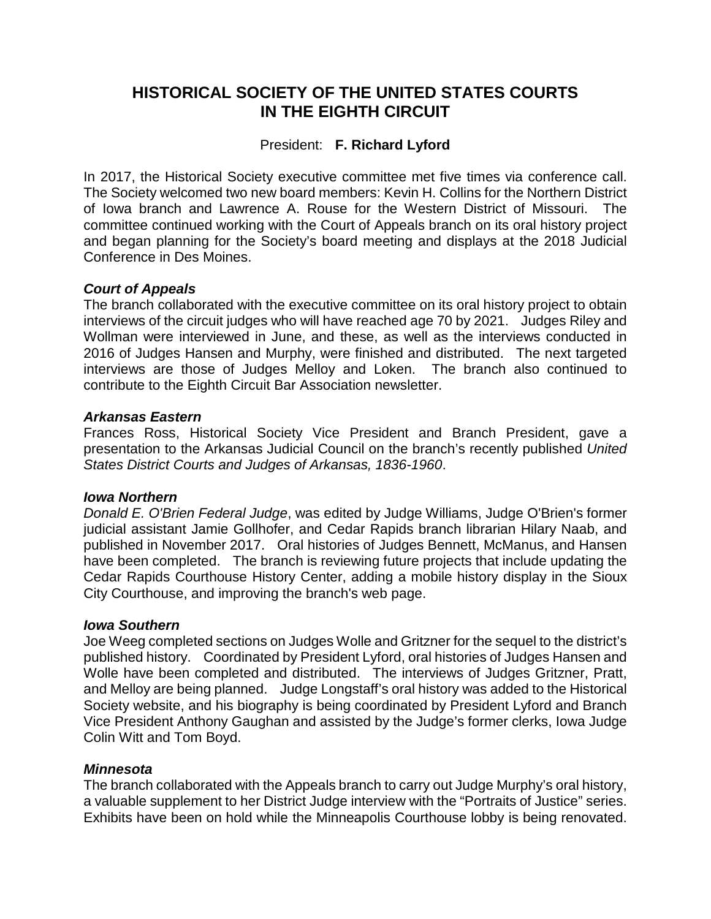# **HISTORICAL SOCIETY OF THE UNITED STATES COURTS IN THE EIGHTH CIRCUIT**

# President: **F. Richard Lyford**

In 2017, the Historical Society executive committee met five times via conference call. The Society welcomed two new board members: Kevin H. Collins for the Northern District of Iowa branch and Lawrence A. Rouse for the Western District of Missouri. The committee continued working with the Court of Appeals branch on its oral history project and began planning for the Society's board meeting and displays at the 2018 Judicial Conference in Des Moines.

## *Court of Appeals*

The branch collaborated with the executive committee on its oral history project to obtain interviews of the circuit judges who will have reached age 70 by 2021. Judges Riley and Wollman were interviewed in June, and these, as well as the interviews conducted in 2016 of Judges Hansen and Murphy, were finished and distributed. The next targeted interviews are those of Judges Melloy and Loken. The branch also continued to contribute to the Eighth Circuit Bar Association newsletter.

#### *Arkansas Eastern*

Frances Ross, Historical Society Vice President and Branch President, gave a presentation to the Arkansas Judicial Council on the branch's recently published *United States District Courts and Judges of Arkansas, 1836-1960*.

#### *Iowa Northern*

*Donald E. O'Brien Federal Judge*, was edited by Judge Williams, Judge O'Brien's former judicial assistant Jamie Gollhofer, and Cedar Rapids branch librarian Hilary Naab, and published in November 2017. Oral histories of Judges Bennett, McManus, and Hansen have been completed. The branch is reviewing future projects that include updating the Cedar Rapids Courthouse History Center, adding a mobile history display in the Sioux City Courthouse, and improving the branch's web page.

#### *Iowa Southern*

Joe Weeg completed sections on Judges Wolle and Gritzner for the sequel to the district's published history. Coordinated by President Lyford, oral histories of Judges Hansen and Wolle have been completed and distributed. The interviews of Judges Gritzner, Pratt, and Melloy are being planned. Judge Longstaff's oral history was added to the Historical Society website, and his biography is being coordinated by President Lyford and Branch Vice President Anthony Gaughan and assisted by the Judge's former clerks, Iowa Judge Colin Witt and Tom Boyd.

#### *Minnesota*

The branch collaborated with the Appeals branch to carry out Judge Murphy's oral history, a valuable supplement to her District Judge interview with the "Portraits of Justice" series. Exhibits have been on hold while the Minneapolis Courthouse lobby is being renovated.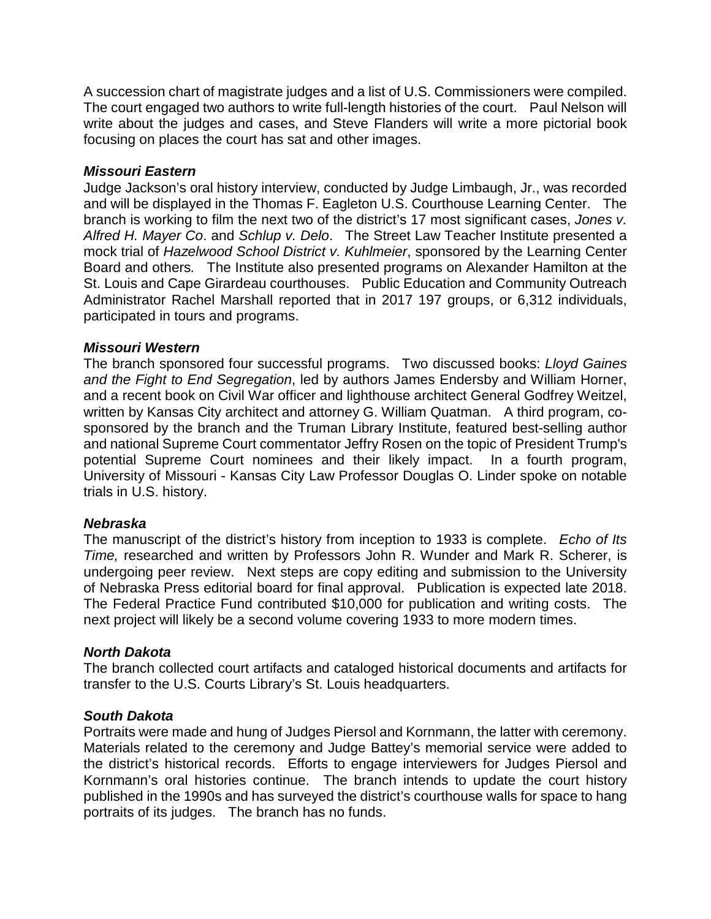A succession chart of magistrate judges and a list of U.S. Commissioners were compiled. The court engaged two authors to write full-length histories of the court. Paul Nelson will write about the judges and cases, and Steve Flanders will write a more pictorial book focusing on places the court has sat and other images.

#### *Missouri Eastern*

Judge Jackson's oral history interview, conducted by Judge Limbaugh, Jr., was recorded and will be displayed in the Thomas F. Eagleton U.S. Courthouse Learning Center. The branch is working to film the next two of the district's 17 most significant cases, *Jones v. Alfred H. Mayer Co*. and *Schlup v. Delo*. The Street Law Teacher Institute presented a mock trial of *Hazelwood School District v. Kuhlmeier*, sponsored by the Learning Center Board and others*.* The Institute also presented programs on Alexander Hamilton at the St. Louis and Cape Girardeau courthouses. Public Education and Community Outreach Administrator Rachel Marshall reported that in 2017 197 groups, or 6,312 individuals, participated in tours and programs.

#### *Missouri Western*

The branch sponsored four successful programs. Two discussed books: *Lloyd Gaines and the Fight to End Segregation*, led by authors James Endersby and William Horner, and a recent book on Civil War officer and lighthouse architect General Godfrey Weitzel, written by Kansas City architect and attorney G. William Quatman. A third program, cosponsored by the branch and the Truman Library Institute, featured best-selling author and national Supreme Court commentator Jeffry Rosen on the topic of President Trump's potential Supreme Court nominees and their likely impact. In a fourth program, University of Missouri - Kansas City Law Professor Douglas O. Linder spoke on notable trials in U.S. history.

#### *Nebraska*

The manuscript of the district's history from inception to 1933 is complete. *Echo of Its Time,* researched and written by Professors John R. Wunder and Mark R. Scherer, is undergoing peer review. Next steps are copy editing and submission to the University of Nebraska Press editorial board for final approval. Publication is expected late 2018. The Federal Practice Fund contributed \$10,000 for publication and writing costs. The next project will likely be a second volume covering 1933 to more modern times.

## *North Dakota*

The branch collected court artifacts and cataloged historical documents and artifacts for transfer to the U.S. Courts Library's St. Louis headquarters.

## *South Dakota*

Portraits were made and hung of Judges Piersol and Kornmann, the latter with ceremony. Materials related to the ceremony and Judge Battey's memorial service were added to the district's historical records. Efforts to engage interviewers for Judges Piersol and Kornmann's oral histories continue. The branch intends to update the court history published in the 1990s and has surveyed the district's courthouse walls for space to hang portraits of its judges. The branch has no funds.